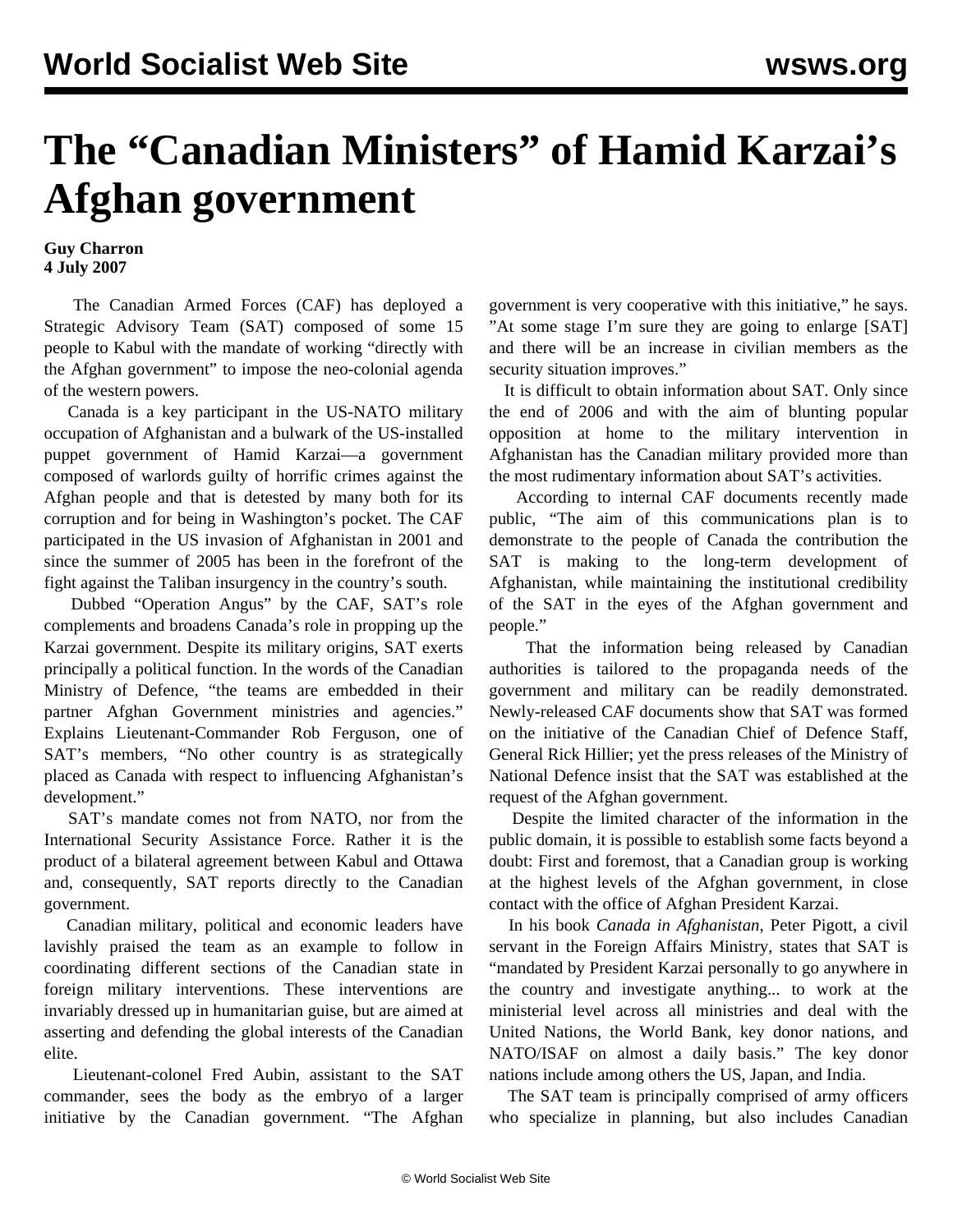## **The "Canadian Ministers" of Hamid Karzai's Afghan government**

## **Guy Charron 4 July 2007**

 The Canadian Armed Forces (CAF) has deployed a Strategic Advisory Team (SAT) composed of some 15 people to Kabul with the mandate of working "directly with the Afghan government" to impose the neo-colonial agenda of the western powers.

 Canada is a key participant in the US-NATO military occupation of Afghanistan and a bulwark of the US-installed puppet government of Hamid Karzai—a government composed of warlords guilty of horrific crimes against the Afghan people and that is detested by many both for its corruption and for being in Washington's pocket. The CAF participated in the US invasion of Afghanistan in 2001 and since the summer of 2005 has been in the forefront of the fight against the Taliban insurgency in the country's south.

 Dubbed "Operation Angus" by the CAF, SAT's role complements and broadens Canada's role in propping up the Karzai government. Despite its military origins, SAT exerts principally a political function. In the words of the Canadian Ministry of Defence, "the teams are embedded in their partner Afghan Government ministries and agencies." Explains Lieutenant-Commander Rob Ferguson, one of SAT's members, "No other country is as strategically placed as Canada with respect to influencing Afghanistan's development."

 SAT's mandate comes not from NATO, nor from the International Security Assistance Force. Rather it is the product of a bilateral agreement between Kabul and Ottawa and, consequently, SAT reports directly to the Canadian government.

 Canadian military, political and economic leaders have lavishly praised the team as an example to follow in coordinating different sections of the Canadian state in foreign military interventions. These interventions are invariably dressed up in humanitarian guise, but are aimed at asserting and defending the global interests of the Canadian elite.

 Lieutenant-colonel Fred Aubin, assistant to the SAT commander, sees the body as the embryo of a larger initiative by the Canadian government. "The Afghan government is very cooperative with this initiative," he says. "At some stage I'm sure they are going to enlarge [SAT] and there will be an increase in civilian members as the security situation improves."

 It is difficult to obtain information about SAT. Only since the end of 2006 and with the aim of blunting popular opposition at home to the military intervention in Afghanistan has the Canadian military provided more than the most rudimentary information about SAT's activities.

 According to internal CAF documents recently made public, "The aim of this communications plan is to demonstrate to the people of Canada the contribution the SAT is making to the long-term development of Afghanistan, while maintaining the institutional credibility of the SAT in the eyes of the Afghan government and people."

 That the information being released by Canadian authorities is tailored to the propaganda needs of the government and military can be readily demonstrated. Newly-released CAF documents show that SAT was formed on the initiative of the Canadian Chief of Defence Staff, General Rick Hillier; yet the press releases of the Ministry of National Defence insist that the SAT was established at the request of the Afghan government.

 Despite the limited character of the information in the public domain, it is possible to establish some facts beyond a doubt: First and foremost, that a Canadian group is working at the highest levels of the Afghan government, in close contact with the office of Afghan President Karzai.

 In his book *Canada in Afghanistan*, Peter Pigott, a civil servant in the Foreign Affairs Ministry, states that SAT is "mandated by President Karzai personally to go anywhere in the country and investigate anything... to work at the ministerial level across all ministries and deal with the United Nations, the World Bank, key donor nations, and NATO/ISAF on almost a daily basis." The key donor nations include among others the US, Japan, and India.

 The SAT team is principally comprised of army officers who specialize in planning, but also includes Canadian